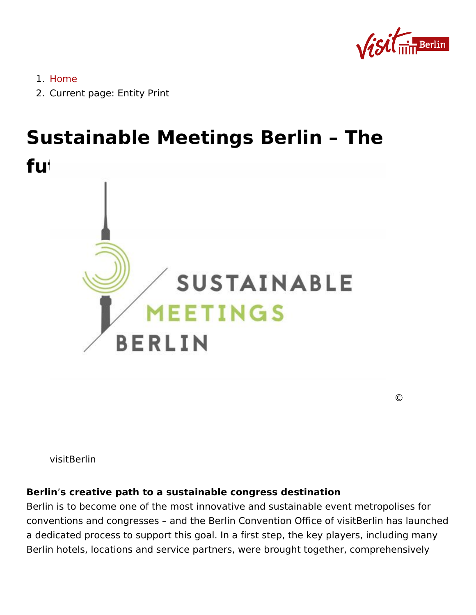1.[Hom](https://about.visitberlin.de/en)e

2. Current pagatity Print

# Sustainable Meetings Berlin The future is green

©

visitBerlin

Berlins creative path to a sustainable congress destination Berlin is to become one of the most innovative and sustainable eve conventions and congressions Berlin Convention Office of visitBerlin a dedicated process to support this goal. In a first step, the key pl Berlin hotels, locations and service partners, were brought togethe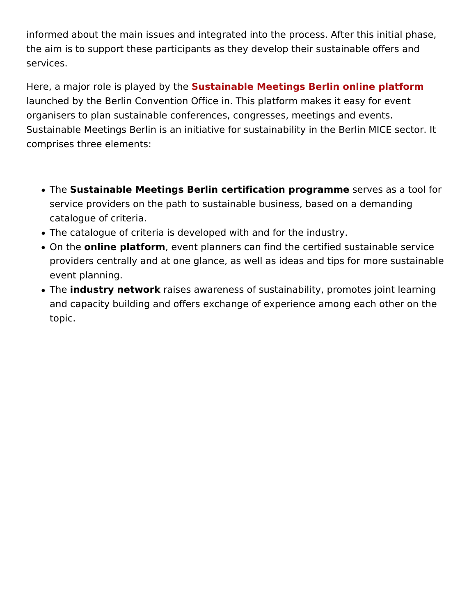informed about the main issues and integrated into the process. After this included  $\mathbf r$ the aim is to support these participants as they develop their susta services.

Here, a major role is playSeuds thay ntahbele Meetings Berlin online platfor launched by the Berlin Convention Office in. This platform makes it organisers to plan sustainable conferences, congresses, meetings and Sustainable Meetings Berlin is an initiative for sustainability tin the comprises three elements:

- The Sustainable Meetings Berlin certification psegvasimes a tool for service providers on the path to sustainable business, based on catalogue of criteria.
- The catalogue of criteria is developed with and for the industry.
- $\bullet$  On the nline platform event planners can find the certified sustaina providers centrally and at one glance, as well as ideas and tips event planning.
- The industry networaises awareness of sustainability, promotes j and capacity building and offers exchange of experience among topic.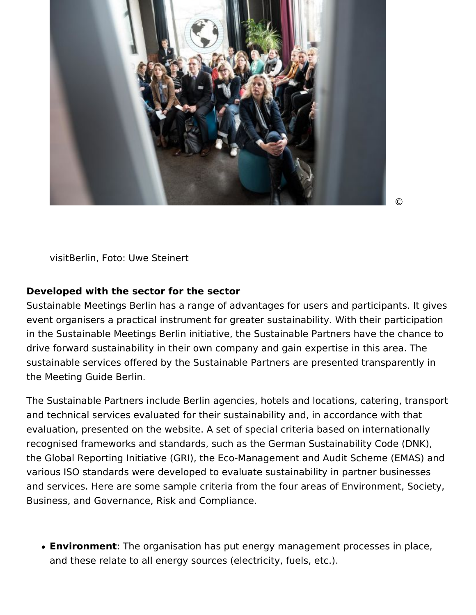

©

visitBerlin, Foto: Uwe Steinert

#### **Developed with the sector for the sector**

Sustainable Meetings Berlin has a range of advantages for users and participants. It gives event organisers a practical instrument for greater sustainability. With their participation in the Sustainable Meetings Berlin initiative, the Sustainable Partners have the chance to drive forward sustainability in their own company and gain expertise in this area. The sustainable services offered by the Sustainable Partners are presented transparently in the Meeting Guide Berlin.

The Sustainable Partners include Berlin agencies, hotels and locations, catering, transport and technical services evaluated for their sustainability and, in accordance with that evaluation, presented on the website. A set of special criteria based on internationally recognised frameworks and standards, such as the German Sustainability Code (DNK), the Global Reporting Initiative (GRI), the Eco-Management and Audit Scheme (EMAS) and various ISO standards were developed to evaluate sustainability in partner businesses and services. Here are some sample criteria from the four areas of Environment, Society, Business, and Governance, Risk and Compliance.

**Environment**: The organisation has put energy management processes in place, and these relate to all energy sources (electricity, fuels, etc.).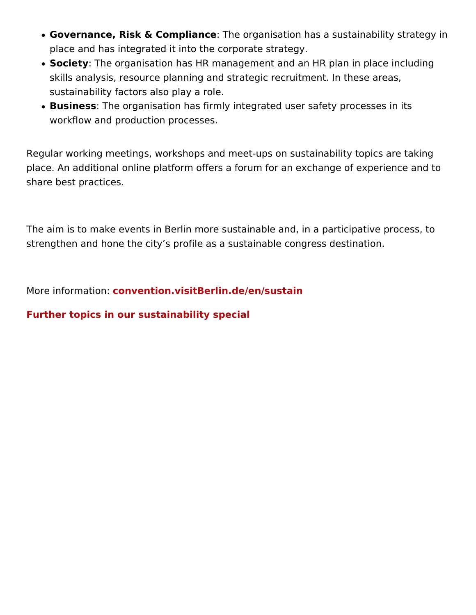- Governance, Risk & Compliame eorganisation has a sustainability place and has integrated it into the corporate strategy.
- Society The organisation has HR management and an HR plan in skills analysis, resource planning and strategic recruitment. In sustainability factors also play a role.
- BusinessThe organisation has firmly integrated user safety proc workflow and production processes.

Regular working meetings, workshops and meet-ups on sustainabilit place. An additional online platform offers a forum for an exchange share best practices.

The aim is to make events in Berlin more sustainable and, in a part strengthen and hone the city s profile as a sustainable congress de

More information visitBerlin.de/en/sustain

[Further topics in our sustainabilit](https://about.visitberlin.de/en/green-berlin)y special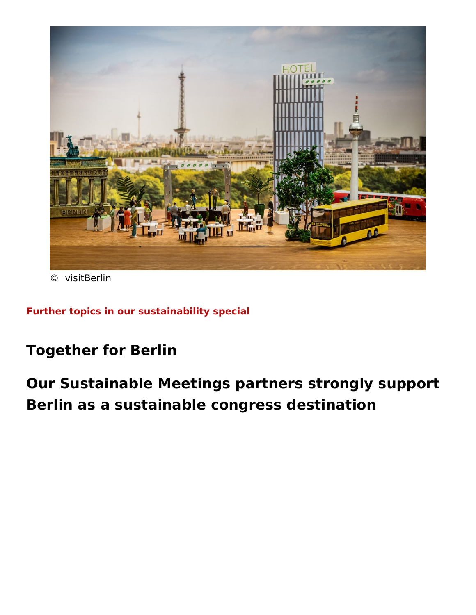© visitBerlin

[Further topics in our sustainabilit](https://about.visitberlin.de/en/green-berlin)y special

Together for Berlin

Our Sustainable Meetings partners strongly s Berlin as a sustainable congress destination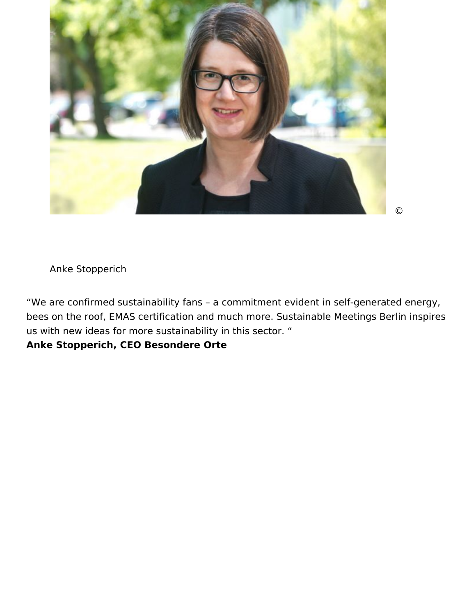

```
 ©
```
Anke Stopperich

"We are confirmed sustainability fans – a commitment evident in self-generated energy, bees on the roof, EMAS certification and much more. Sustainable Meetings Berlin inspires us with new ideas for more sustainability in this sector. "

### **Anke Stopperich, CEO Besondere Orte**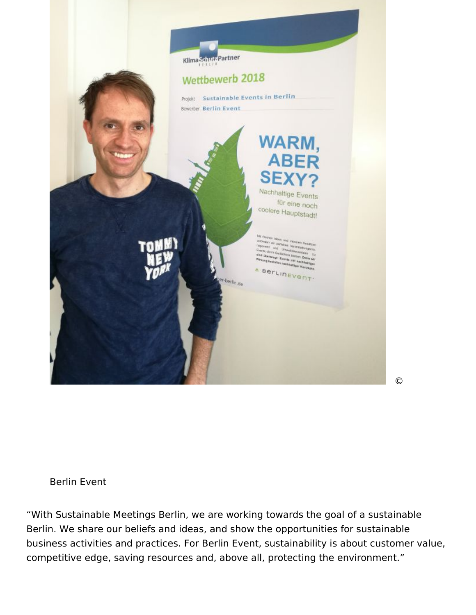

©

#### Berlin Event

"With Sustainable Meetings Berlin, we are working towards the goal of a sustainable Berlin. We share our beliefs and ideas, and show the opportunities for sustainable business activities and practices. For Berlin Event, sustainability is about customer value, competitive edge, saving resources and, above all, protecting the environment."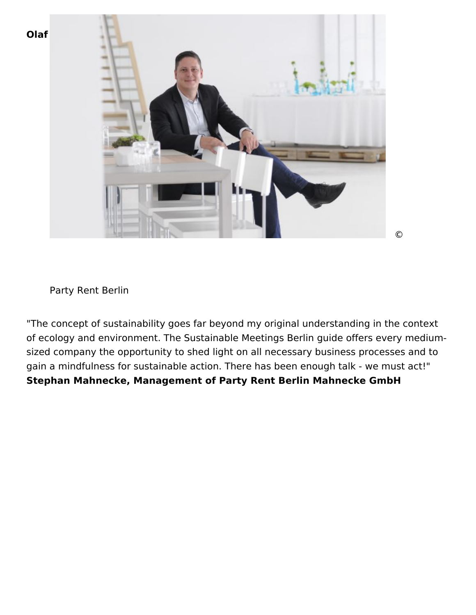



Party Rent Berlin

"The concept of sustainability goes far beyond my original understanding in the context of ecology and environment. The Sustainable Meetings Berlin guide offers every mediumsized company the opportunity to shed light on all necessary business processes and to gain a mindfulness for sustainable action. There has been enough talk - we must act!" **Stephan Mahnecke, Management of Party Rent Berlin Mahnecke GmbH**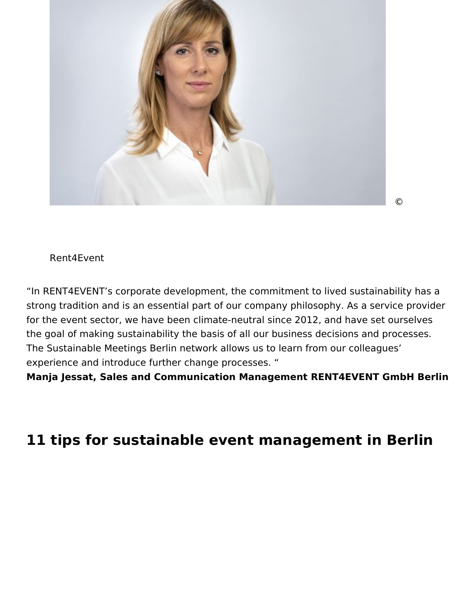

©

#### Rent4Event

"In RENT4EVENT's corporate development, the commitment to lived sustainability has a strong tradition and is an essential part of our company philosophy. As a service provider for the event sector, we have been climate-neutral since 2012, and have set ourselves the goal of making sustainability the basis of all our business decisions and processes. The Sustainable Meetings Berlin network allows us to learn from our colleagues' experience and introduce further change processes. "

**Manja Jessat, Sales and Communication Management RENT4EVENT GmbH Berlin**

## **11 tips for sustainable event management in Berlin**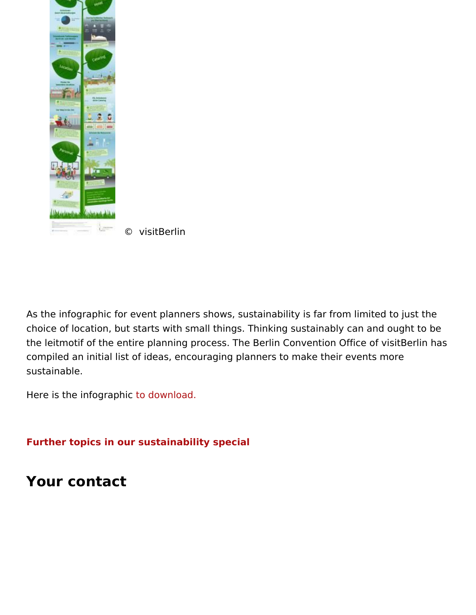© visitBerlin

As the infographic for event planners shows, sustainability is far fr choice of location, but starts with small things. Thinking sustainab the leitmotif of the entire planning process. The Berlin Convention compiled an initial list of ideas, encouraging planners to make thei sustainable.

Here is the infogtroapolhounload.

[Further topics in our sustainabilit](https://about.visitberlin.de/en/green-berlin)y special

Your contact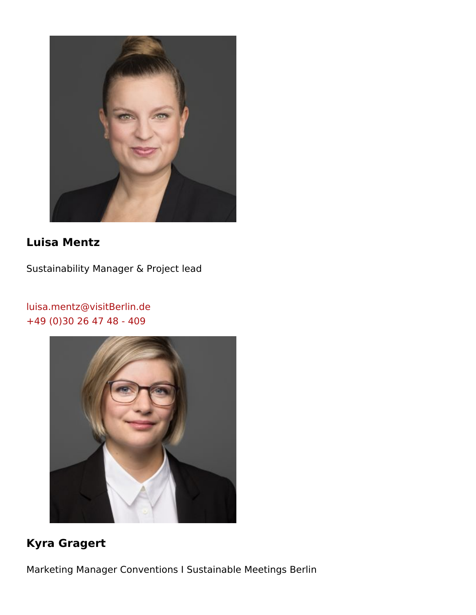Luisa Mentz

Sustainability Manager & Project lead

[luisa.mentz@visitB](mailto:luisa.mentz@visitBerlin.de)erlin.de [+49 \(0\)30 26 47 4](tel:+49(0)30264748-409)8 - 409

Kyra Gragert

Marketing Manager Conventions I Sustainable Meetings Berlin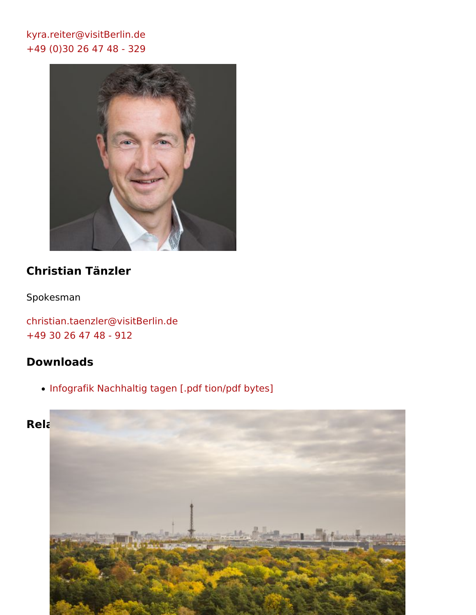[kyra.reiter@visitB](mailto:kyra.reiter@visitBerlin.de)erlin.de [+49 \(0\)30 26 47 48](tel:+49(0)30264748-329) - 329

Christian Tänzler

Spokesman

[christian.taenzler@visi](mailto:christian.taenzler@visitBerlin.de)tBerlin.de [+49 30 26 47 48](tel:+4930264748-912) - 912

Downloads

. Infografik Nachhaltig ptange im n/pdf bytes]

Related Posts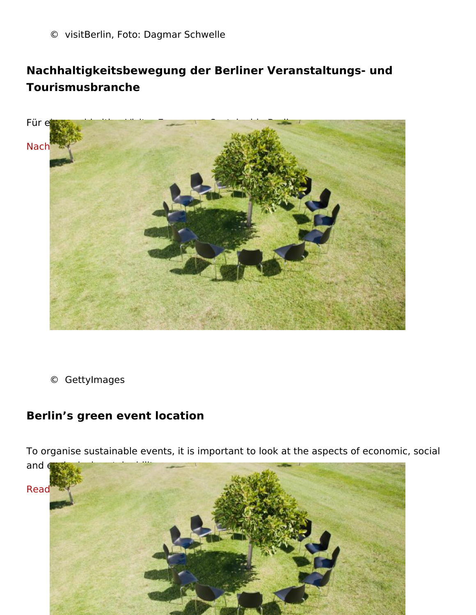© visitBerlin, Foto: Dagmar Schwelle

Nachhaltigkeitsbewegung der Berliner Veranstaltungs- und Tourismusbranche

Für eine nachhaltige Visitor Economy - Sustainable Berlin

[Nachhaltigkeitsbewegung der Vis](https://about.visitberlin.de/sustainable-berlin)itor Economy

© GettyImages

Berlin s green event location

To organise sustainable events, it is important to look at the aspec and ecological sustainability.

[Read mo](https://about.visitberlin.de/en/berlins-green-event-locations)re